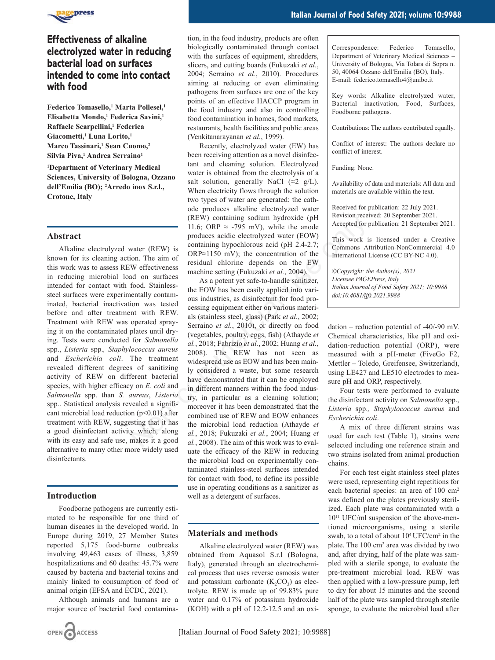

# **Effectiveness of alkaline electrolyzed water in reducing bacterial load on surfaces intended to come into contact with food**

**Federico Tomasello,1 Marta Pollesel,1 Elisabetta Mondo,1 Federica Savini,1 Raffaele Scarpellini,1 Federica Giacometti,1 Luna Lorito,1 Marco Tassinari,1 Sean Cuomo,2 Silvia Piva,1 Andrea Serraino1**

**1 Department of Veterinary Medical Sciences, University of Bologna, Ozzano dell'Emilia (BO); 2Arredo inox S.r.l., Crotone, Italy**

## **Abstract**

Alkaline electrolyzed water (REW) is known for its cleaning action. The aim of this work was to assess REW effectiveness in reducing microbial load on surfaces intended for contact with food. Stainlesssteel surfaces were experimentally contaminated, bacterial inactivation was tested before and after treatment with REW. Treatment with REW was operated spraying it on the contaminated plates until drying. Tests were conducted for *Salmonella* spp., *Listeria* spp.*, Staphylococcus aureus* and *Escherichia coli*. The treatment revealed different degrees of sanitizing activity of REW on different bacterial species, with higher efficacy on *E*. *coli* and *Salmonella* spp. than *S. aureus*, *Listeria* spp.. Statistical analysis revealed a significant microbial load reduction  $(p<0.01)$  after treatment with REW, suggesting that it has a good disinfectant activity which, along with its easy and safe use, makes it a good alternative to many other more widely used disinfectants.

### **Introduction**

Foodborne pathogens are currently estimated to be responsible for one third of human diseases in the developed world. In Europe during 2019, 27 Member States reported 5,175 food-borne outbreaks involving 49,463 cases of illness, 3,859 hospitalizations and 60 deaths: 45.7% were caused by bacteria and bacterial toxins and mainly linked to consumption of food of animal origin (EFSA and ECDC, 2021).

Although animals and humans are a major source of bacterial food contamina-

(Venkitanarayanan *et al.*, 1999). Recently, electrolyzed water (EW) has been receiving attention as a novel disinfectant and cleaning solution. Electrolyzed water is obtained from the electrolysis of a salt solution, generally NaCl  $(\approx 2 \text{ g/L})$ . When electricity flows through the solution two types of water are generated: the cathode produces alkaline electrolyzed water (REW) containing sodium hydroxide (pH 11.6; ORP  $\approx$  -795 mV), while the anode produces acidic electrolyzed water (EOW) containing hypochlorous acid (pH 2.4-2.7; ORP≈1150 mV); the concentration of the residual chlorine depends on the EW machine setting (Fukuzaki *et al.*, 2004).

food contamination in homes, food markets, restaurants, health facilities and public areas

As a potent yet safe-to-handle sanitizer, the EOW has been easily applied into various industries, as disinfectant for food processing equipment either on various materials (stainless steel, glass) (Park *et al.*, 2002; Serraino *et al.*, 2010), or directly on food (vegetables, poultry, eggs, fish) (Athayde *et al.*, 2018; Fabrizio *et al.*, 2002; Huang *et al.*, 2008). The REW has not seen as widespread use as EOW and has been mainly considered a waste, but some research have demonstrated that it can be employed in different manners within the food industry, in particular as a cleaning solution; moreover it has been demonstrated that the combined use of REW and EOW enhances the microbial load reduction (Athayde *et al.*, 2018; Fukuzaki *et al.*, 2004; Huang *et al.*, 2008). The aim of this work was to evaluate the efficacy of the REW in reducing the microbial load on experimentally contaminated stainless-steel surfaces intended for contact with food, to define its possible use in operating conditions as a sanitizer as well as a detergent of surfaces. The same of the mode of the same of the same of the mode of the mode and the same of the same of the same of the same of the same of the same of the same of the same of the same of the same of the same of the same of the

## **Materials and methods**

Alkaline electrolyzed water (REW) was obtained from Aquasol S.r.l (Bologna, Italy), generated through an electrochemical process that uses reverse osmosis water and potassium carbonate  $(K_2CO_3)$  as electrolyte. REW is made up of 99.83% pure water and 0.17% of potassium hydroxide (KOH) with a pH of 12.2-12.5 and an oxiCorrespondence: Federico Tomasello, Department of Veterinary Medical Sciences – University of Bologna, Via Tolara di Sopra n. 50, 40064 Ozzano dell'Emilia (BO), Italy. E-mail: federico.tomasello4@unibo.it

Key words: Alkaline electrolyzed water, Bacterial inactivation, Food, Surfaces, Foodborne pathogens.

Contributions: The authors contributed equally.

Conflict of interest: The authors declare no conflict of interest.

Funding: None.

Availability of data and materials: All data and materials are available within the text.

Received for publication: 22 July 2021. Revision received: 20 September 2021. Accepted for publication: 21 September 2021.

This work is licensed under a Creative Commons Attribution-NonCommercial 4.0 International License (CC BY-NC 4.0).

*©Copyright: the Author(s), 2021 Licensee PAGEPress, Italy Italian Journal of Food Safety 2021; 10:9988 doi:10.4081/ijfs.2021.9988*

dation – reduction potential of -40/-90 mV. Chemical characteristics, like pH and oxidation-reduction potential (ORP), were measured with a pH-meter (FiveGo F2, Mettler – Toledo, Greifensee, Switzerland), using LE427 and LE510 electrodes to measure pH and ORP, respectively.

Four tests were performed to evaluate the disinfectant activity on *Salmonella* spp., *Listeria* spp.*, Staphylococcus aureus* and *Escherichia coli*.

A mix of three different strains was used for each test (Table 1), strains were selected including one reference strain and two strains isolated from animal production chains.

For each test eight stainless steel plates were used, representing eight repetitions for each bacterial species: an area of 100 cm<sup>2</sup> was defined on the plates previously sterilized. Each plate was contaminated with a 1011 UFC/ml suspension of the above-mentioned microorganisms, using a sterile swab, to a total of about 10<sup>4</sup> UFC/cm<sup>2</sup> in the plate. The 100 cm2 area was divided by two and, after drying, half of the plate was sampled with a sterile sponge, to evaluate the pre-treatment microbial load. REW was then applied with a low-pressure pump, left to dry for about 15 minutes and the second half of the plate was sampled through sterile sponge, to evaluate the microbial load after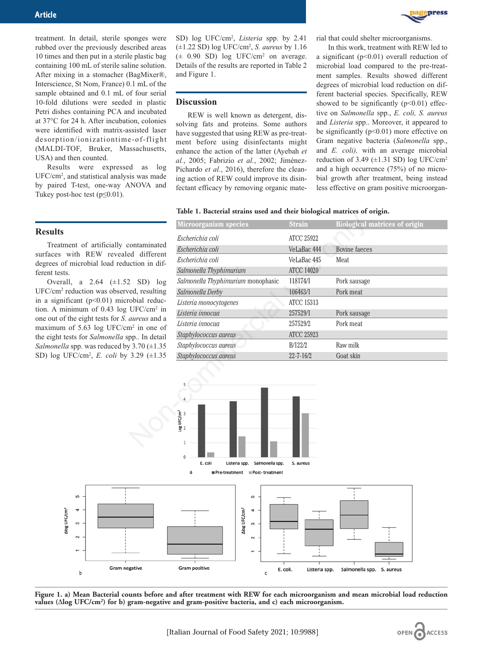treatment. In detail, sterile sponges were rubbed over the previously described areas 10 times and then put in a sterile plastic bag containing 100 mL of sterile saline solution. After mixing in a stomacher (BagMixer®, Interscience, St Nom, France) 0.1 mL of the sample obtained and 0.1 mL of four serial 10-fold dilutions were seeded in plastic Petri dishes containing PCA and incubated at 37°C for 24 h. After incubation, colonies were identified with matrix-assisted laser desorption/ionizationtime-of-flight (MALDI-TOF, Bruker, Massachusetts, USA) and then counted.

Results were expressed as log UFC/cm2, and statistical analysis was made by paired T-test, one-way ANOVA and Tukey post-hoc test  $(p \le 0.01)$ .

**Results**

Treatment of artificially contaminated surfaces with REW revealed different degrees of microbial load reduction in different tests.

Overall, a  $2.64$  ( $\pm 1.52$  SD) log UFC/cm2 reduction was observed, resulting in a significant  $(p<0.01)$  microbial reduction. A minimum of 0.43 log UFC/cm2 in one out of the eight tests for *S. aureus* and a maximum of 5.63 log UFC/cm2 in one of the eight tests for *Salmonella* spp.. In detail *Salmonella* spp. was reduced by 3.70 (±1.35 SD) log UFC/cm2, *E. coli* by 3.29 (±1.35

SD) log UFC/cm2 , *Listeria* spp. by 2.41 (±1.22 SD) log UFC/cm2, *S. aureus* by 1.16  $(\pm 0.90 \text{ SD})$  log UFC/cm<sup>2</sup> on average. Details of the results are reported in Table 2 and Figure 1.

### **Discussion**

REW is well known as detergent, dissolving fats and proteins. Some authors have suggested that using REW as pre-treatment before using disinfectants might enhance the action of the latter (Ayebah *et al.*, 2005; Fabrizio *et al.*, 2002; Jiménez-Pichardo *et al.*, 2016), therefore the cleaning action of REW could improve its disinfectant efficacy by removing organic material that could shelter microorganisms.

**DRESS** 

In this work, treatment with REW led to a significant (p<0.01) overall reduction of microbial load compared to the pre-treatment samples. Results showed different degrees of microbial load reduction on different bacterial species. Specifically, REW showed to be significantly  $(p<0.01)$  effective on *Salmonella* spp., *E. coli, S. aureus* and *Listeria* spp.. Moreover, it appeared to be significantly  $(p<0.01)$  more effective on Gram negative bacteria (*Salmonella* spp., and *E. coli),* with an average microbial reduction of 3.49  $(\pm 1.31 \text{ SD})$  log UFC/cm<sup>2</sup> and a high occurrence (75%) of no microbial growth after treatment, being instead less effective on gram positive microorgan-

#### **Table 1. Bacterial strains used and their biological matrices of origin.**

|                                                                                                                                                                     | <b>Microorganism species</b>          | <b>Strain</b>     | <b>Biological matrices of origin</b> |
|---------------------------------------------------------------------------------------------------------------------------------------------------------------------|---------------------------------------|-------------------|--------------------------------------|
| contaminated<br>ed different<br>iction in dif-                                                                                                                      | Escherichia coli                      | <b>ATCC 25922</b> |                                      |
|                                                                                                                                                                     | Escherichia coli                      | VeLaBac 444       | <b>Bovine</b> faeces                 |
|                                                                                                                                                                     | Escherichia coli                      | VeLaBac 445       | Meat                                 |
|                                                                                                                                                                     | Salmonella Thyphimurium               | <b>ATCC 14020</b> |                                      |
| $SD)$ $log$<br>ed, resulting<br>obial reduc-<br>$UFC/cm2$ in<br><i>aureus</i> and a<br>$n^2$ in one of<br>pp In detail<br>$73.70 \ (\pm 1.35)$<br>3.29 $(\pm 1.35)$ | Salmonella Thyphimurium monophasic    | 118174/1          | Pork sausage                         |
|                                                                                                                                                                     | Salmonella Derby                      | 106463/1          | Pork meat                            |
|                                                                                                                                                                     | Listeria monocytogenes                | <b>ATCC 15313</b> |                                      |
|                                                                                                                                                                     | Listeria innocua                      | 257529/1          | Pork sausage                         |
|                                                                                                                                                                     | Listeria innocua                      | 257529/2          | Pork meat                            |
|                                                                                                                                                                     | Staphylococcus aureus                 | <b>ATCC 25923</b> |                                      |
|                                                                                                                                                                     | Staphylococcus aureus                 | B/122/2           | Raw milk                             |
|                                                                                                                                                                     | Staphylococcus aureus                 | $22 - 7 - 16/2$   | Goat skin                            |
|                                                                                                                                                                     | $\frac{\log \text{UFC/cm}^2}{\omega}$ |                   |                                      |



**Figure 1. a) Mean Bacterial counts before and after treatment with REW for each microorganism and mean microbial load reduction values (**D**log UFC/cm2) for b) gram-negative and gram-positive bacteria, and c) each microorganism.**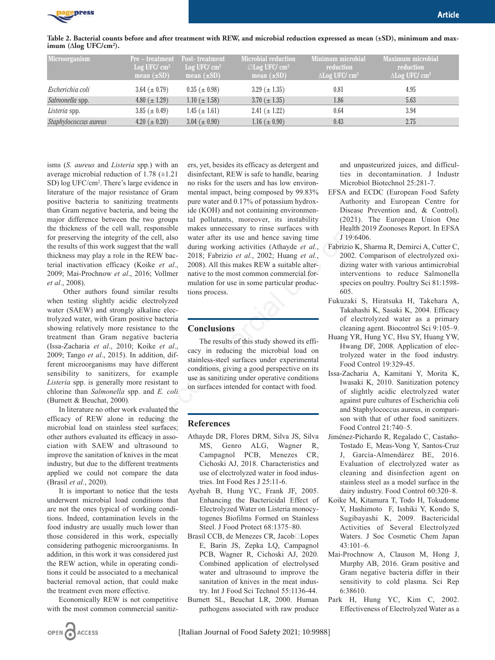

**Article** in the contract of the contract of the contract of the contract of the **Article** 

| Microorganism         | <b>Pre</b> – treatment Post-treatment<br>$Log$ UFC/ $cm2$<br>mean $(\pm SD)$ | Log UFC/ $cm2$<br>mean $(\pm SD)$ | Microbial reduction<br>$\oslash$ Log UFC/ cm <sup>2</sup><br>mean $(\pm SD)$ | Minimum microbial<br>reduction<br>$\Delta$ Log UFC/ cm <sup>2</sup> | Maximum microbial<br>reduction<br>$\Delta$ Log UFC/ cm <sup>2</sup> |
|-----------------------|------------------------------------------------------------------------------|-----------------------------------|------------------------------------------------------------------------------|---------------------------------------------------------------------|---------------------------------------------------------------------|
| Escherichia coli      | 3.64 $(\pm 0.79)$                                                            | $0.35~(\pm 0.98)$                 | $3.29 \ (\pm 1.35)$                                                          | 0.81                                                                | 4.95                                                                |
| Salmonella spp.       | 4.80 $(\pm 1.29)$                                                            | $1.10 \ (\pm 1.58)$               | $3.70 \ (\pm 1.35)$                                                          | 1.86                                                                | 5.63                                                                |
| Listeria spp.         | 3.85 ( $\pm$ 0.49)                                                           | $1.45~(\pm 1.61)$                 | 2.41 $(\pm 1.22)$                                                            | 0.64                                                                | 3.94                                                                |
| Staphylococcus aureus | 4.20 ( $\pm$ 0.20)                                                           | $3.04 \ (\pm 0.90)$               | 1.16 $(\pm 0.90)$                                                            | 0.43                                                                | 2.75                                                                |

isms (*S. aureus* and *Listeria* spp.) with an average microbial reduction of 1.78 (±1.21 SD) log UFC/cm2. There's large evidence in literature of the major resistance of Gram positive bacteria to sanitizing treatments than Gram negative bacteria, and being the major difference between the two groups the thickness of the cell wall, responsible for preserving the integrity of the cell, also the results of this work suggest that the wall thickness may play a role in the REW bacterial inactivation efficacy (Koike *et al*., 2009; Mai-Prochnow *et al*., 2016; Vollmer *et al*., 2008).

Other authors found similar results when testing slightly acidic electrolyzed water (SAEW) and strongly alkaline electrolyzed water, with Gram positive bacteria showing relatively more resistance to the treatment than Gram negative bacteria (Issa-Zacharia *et al*., 2010; Koike *et al*., 2009; Tango *et al*., 2015). In addition, different microorganisms may have different sensibility to sanitizers, for example *Listeria* spp. is generally more resistant to chlorine than *Salmonella* spp. and *E. coli* (Burnett & Beuchat, 2000)*.*

In literature no other work evaluated the efficacy of REW alone in reducing the microbial load on stainless steel surfaces; other authors evaluated its efficacy in association with SAEW and ultrasound to improve the sanitation of knives in the meat industry, but due to the different treatments applied we could not compare the data (Brasil *et al.*, 2020).

It is important to notice that the tests underwent microbial load conditions that are not the ones typical of working conditions. Indeed, contamination levels in the food industry are usually much lower than those considered in this work, especially considering pathogenic microorganisms. In addition, in this work it was considered just the REW action, while in operating conditions it could be associated to a mechanical bacterial removal action, that could make the treatment even more effective.

Economically REW is not competitive with the most common commercial sanitiz-

OPEN CACCESS

ers, yet, besides its efficacy as detergent and disinfectant, REW is safe to handle, bearing no risks for the users and has low environmental impact, being composed by 99.83% pure water and 0.17% of potassium hydroxide (KOH) and not containing environmental pollutants, moreover, its instability makes unnecessary to rinse surfaces with water after its use and hence saving time during working activities (Athayde *et al.*, 2018; Fabrizio *et al.*, 2002; Huang *et al.*, 2008). All this makes REW a suitable alternative to the most common commercial formulation for use in some particular productions process. the two groups tal pollutants, moreover, its instability (2021).<br>
Yand responsible makes unnecessary to rines uriface and hence saving time<br>
of the cell, also water after its use and hence saving time<br>  $\frac{1}{19.19.6406}$ 

## **Conclusions**

The results of this study showed its efficacy in reducing the microbial load on stainless-steel surfaces under experimental conditions, giving a good perspective on its use as sanitizing under operative conditions on surfaces intended for contact with food.

## **References**

- Athayde DR, Flores DRM, Silva JS, Silva MS, Genro ALG, Wagner R, Campagnol PCB, Menezes CR, Cichoski AJ, 2018. Characteristics and use of electrolyzed water in food industries. Int Food Res J 25:11-6.
- Ayebah B, Hung YC, Frank JF, 2005. Enhancing the Bactericidal Effect of Electrolyzed Water on Listeria monocytogenes Biofilms Formed on Stainless Steel. J Food Protect 68:1375–80.
- Brasil CCB, de Menezes CR, Jacob□Lopes E, Barin JS, Zepka LQ, Campagnol PCB, Wagner R, Cichoski AJ, 2020. Combined application of electrolysed water and ultrasound to improve the sanitation of knives in the meat industry. Int J Food Sci Technol 55:1136-44.
- Burnett SL, Beuchat LR, 2000. Human pathogens associated with raw produce

and unpasteurized juices, and difficulties in decontamination. J Industr Microbiol Biotechnol 25:281-7.

- EFSA and ECDC (European Food Safety Authority and European Centre for Disease Prevention and, & Control). (2021). The European Union One Health 2019 Zoonoses Report. In EFSA J 19:6406.
- Fabrizio K, Sharma R, Demirci A, Cutter C, 2002. Comparison of electrolyzed oxidizing water with various antimicrobial interventions to reduce Salmonella species on poultry. Poultry Sci 81:1598- 605.
- Fukuzaki S, Hiratsuka H, Takehara A, Takahashi K, Sasaki K, 2004. Efficacy of electrolyzed water as a primary cleaning agent. Biocontrol Sci 9:105–9.
- Huang YR, Hung YC, Hsu SY, Huang YW, Hwang DF, 2008. Application of electrolyzed water in the food industry. Food Control 19:329-45.
- Issa-Zacharia A, Kamitani Y, Morita K, Iwasaki K, 2010. Sanitization potency of slightly acidic electrolyzed water against pure cultures of Escherichia coli and Staphylococcus aureus, in comparison with that of other food sanitizers. Food Control 21:740–5.
- Jiménez-Pichardo R, Regalado C, Castaño-Tostado E, Meas-Vong Y, Santos-Cruz J, García-Almendárez BE, 2016. Evaluation of electrolyzed water as cleaning and disinfection agent on stainless steel as a model surface in the dairy industry. Food Control 60:320–8.
- Koike M, Kitamura T, Todo H, Tokudome Y, Hashimoto F, Isshiki Y, Kondo S, Sugibayashi K, 2009. Bactericidal Activities of Several Electrolyzed Waters. J Soc Cosmetic Chem Japan  $43:101-6$ .
- Mai-Prochnow A, Clauson M, Hong J, Murphy AB, 2016. Gram positive and Gram negative bacteria differ in their sensitivity to cold plasma. Sci Rep 6:38610.
- Park H, Hung YC, Kim C, 2002. Effectiveness of Electrolyzed Water as a